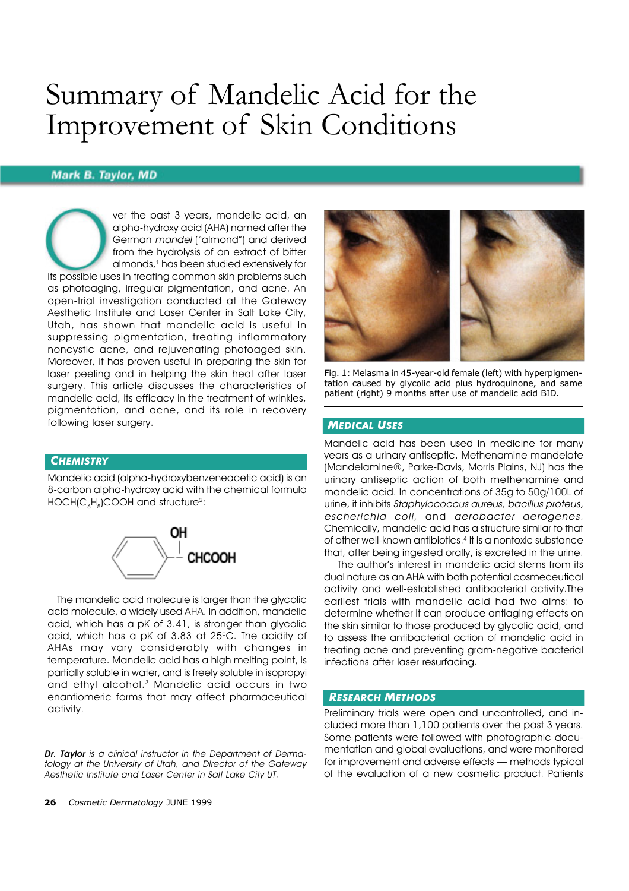# Summary of Mandelic Acid for the Improvement of Skin Conditions

## **Mark B. Taylor, MD**

ver the past 3 years, mandelic acid, an alpha-hydroxy acid (AHA) named after the German *mandel* ("almond") and derived from the hydrolysis of an extract of bitter almonds,1 has been studied extensively for its possible uses in treating common skin problems such as photoaging, irregular pigmentation, and acne. An open-trial investigation conducted at the Gateway Aesthetic Institute and Laser Center in Salt Lake City, Utah, has shown that mandelic acid is useful in suppressing pigmentation, treating inflammatory noncystic acne, and rejuvenating photoaged skin. Moreover, it has proven useful in preparing the skin for laser peeling and in helping the skin heal after laser surgery. This article discusses the characteristics of mandelic acid, its efficacy in the treatment of wrinkles, pigmentation, and acne, and its role in recovery following laser surgery.

### *CHEMISTRY*

Mandelic acid (alpha-hydroxybenzeneacetic acid) is an 8-carbon alpha-hydroxy acid with the chemical formula <code>HOCH(C</code>  $_{\rm e}$ H $_{\rm s}$ )COOH and structure $^{\rm 2}$ :



 The mandelic acid molecule is larger than the glycolic acid molecule, a widely used AHA. In addition, mandelic acid, which has a pK of 3.41, is stronger than glycolic acid, which has a pK of  $3.83$  at  $25^{\circ}$ C. The acidity of AHAs may vary considerably with changes in temperature. Mandelic acid has a high melting point, is partially soluble in water, and is freely soluble in isopropyi and ethyl alcohol.3 Mandelic acid occurs in two enantiomeric forms that may affect pharmaceutical activity.



Mandelic acid has been used in medicine for many years as a urinary antiseptic. Methenamine mandelate (Mandelamine®, Parke-Davis, Morris Plains, NJ) has the urinary antiseptic action of both methenamine and mandelic acid. In concentrations of 35g to 50g/100L of urine, it inhibits *Staphylococcus aureus, bacillus proteus, escherichia coli,* and *aerobacter aerogenes.* Chemically, mandelic acid has a structure similar to that of other well-known antibiotics.4 It is a nontoxic substance that, after being ingested orally, is excreted in the urine.

 The author's interest in mandelic acid stems from its dual nature as an AHA with both potential cosmeceutical activity and well-established antibacterial activity.The earliest trials with mandelic acid had two aims: to determine whether it can produce antiaging effects on the skin similar to those produced by glycolic acid, and to assess the antibacterial action of mandelic acid in treating acne and preventing gram-negative bacterial infections after laser resurfacing.

#### *RESEARCH METHODS*

Preliminary trials were open and uncontrolled, and included more than 1,100 patients over the past 3 years. Some patients were followed with photographic documentation and global evaluations, and were monitored for improvement and adverse effects — methods typical of the evaluation of a new cosmetic product. Patients

*Dr. Taylor is a clinical instructor in the Department of Dermatology at the University of Utah, and Director of the Gateway Aesthetic Institute and Laser Center in Salt Lake City UT.*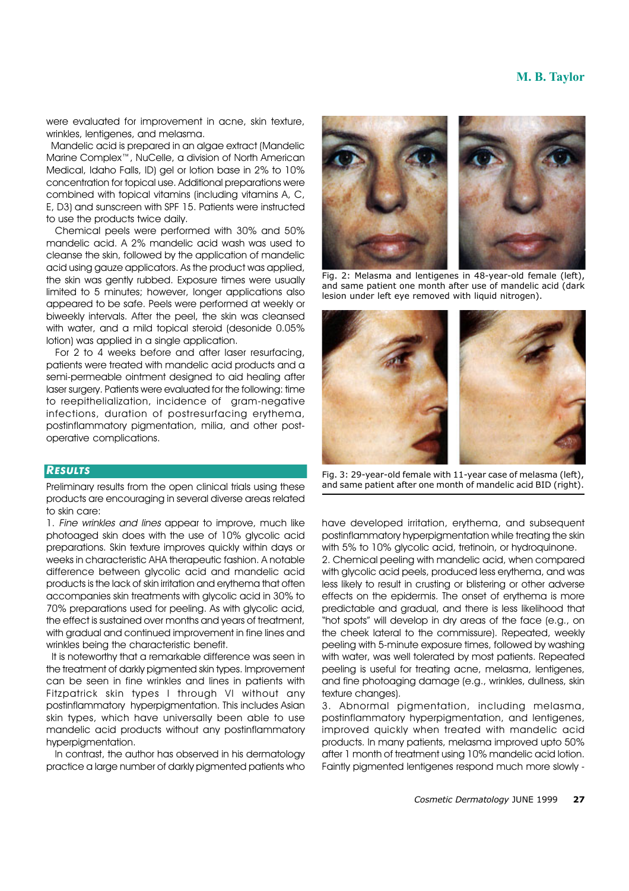## **M. B. Taylor**

were evaluated for improvement in acne, skin texture, wrinkles, lentigenes, and melasma.

 Mandelic acid is prepared in an algae extract (Mandelic Marine Complex™, NuCelle, a division of North American Medical, Idaho Falls, ID) gel or lotion base in 2% to 10% concentration for topical use. Additional preparations were combined with topical vitamins (including vitamins A, C, E, D3) and sunscreen with SPF 15. Patients were instructed to use the products twice daily.

 Chemical peels were performed with 30% and 50% mandelic acid. A 2% mandelic acid wash was used to cleanse the skin, followed by the application of mandelic acid using gauze applicators. As the product was applied, the skin was gently rubbed. Exposure times were usually limited to 5 minutes; however, longer applications also appeared to be safe. Peels were performed at weekly or biweekly intervals. After the peel, the skin was cleansed with water, and a mild topical steroid (desonide 0.05% lotion) was applied in a single application.

 For 2 to 4 weeks before and after laser resurfacing, patients were treated with mandelic acid products and a semi-permeable ointment designed to aid healing after laser surgery. Patients were evaluated for the following: time to reepithelialization, incidence of gram-negative infections, duration of postresurfacing erythema, postinflammatory pigmentation, milia, and other postoperative complications.

#### *RESULTS*

Preliminary results from the open clinical trials using these products are encouraging in several diverse areas related to skin care:

1. *Fine wrinkles and lines* appear to improve, much like photoaged skin does with the use of 10% glycolic acid preparations. Skin texture improves quickly within days or weeks in characteristic AHA therapeutic fashion. A notable difference between glycolic acid and mandelic acid products is the lack of skin irritation and erythema that often accompanies skin treatments with glycolic acid in 30% to 70% preparations used for peeling. As with glycolic acid, the effect is sustained over months and years of treatment, with aradual and continued improvement in fine lines and wrinkles being the characteristic benefit.

 It is noteworthy that a remarkable difference was seen in the treatment of darkly pigmented skin types. Improvement can be seen in fine wrinkles and lines in patients with Fitzpatrick skin types I through VI without any postinflammatory hyperpigmentation. This includes Asian skin types, which have universally been able to use mandelic acid products without any postinflammatory hyperpigmentation.

 In contrast, the author has observed in his dermatology practice a large number of darkly pigmented patients who



Fig. 2: Melasma and lentigenes in 48-year-old female (left), and same patient one month after use of mandelic acid (dark lesion under left eye removed with liquid nitrogen).



Fig. 3: 29-year-old female with 11-year case of melasma (left), and same patient after one month of mandelic acid BID (right).

have developed irritation, erythema, and subsequent postinflammatory hyperpigmentation while treating the skin with 5% to 10% glycolic acid, tretinoin, or hydroquinone.

2. Chemical peeling with mandelic acid, when compared with glycolic acid peels, produced less erythema, and was less likely to result in crusting or blistering or other adverse effects on the epidermis. The onset of erythema is more predictable and gradual, and there is less likelihood that "hot spots" will develop in dry areas of the face (e.g., on the cheek lateral to the commissure). Repeated, weekly peeling with 5-minute exposure times, followed by washing with water, was well tolerated by most patients. Repeated peeling is useful for treating acne, melasma, lentigenes, and fine photoaging damage (e.g., wrinkles, dullness, skin texture changes).

3. Abnormal pigmentation, including melasma, postinflammatory hyperpigmentation, and lentigenes, improved quickly when treated with mandelic acid products. In many patients, melasma improved upto 50% after 1 month of treatment using 10% mandelic acid lotion. Faintly pigmented lentigenes respond much more slowly -